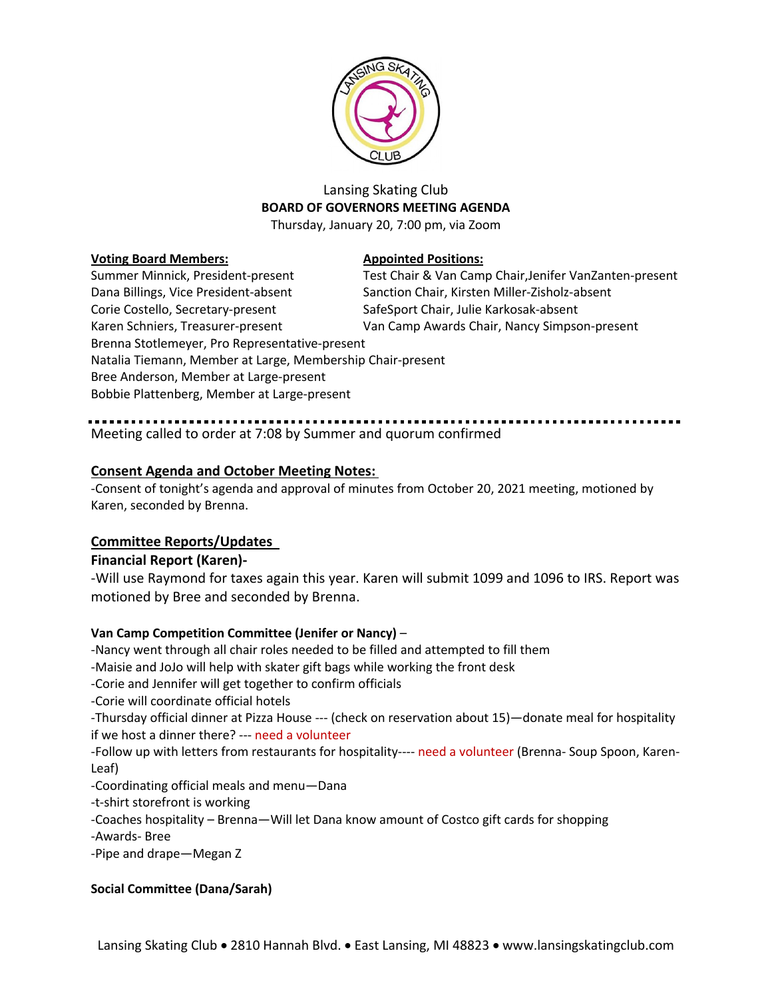

# Lansing Skating Club **BOARD OF GOVERNORS MEETING AGENDA**

Thursday, January 20, 7:00 pm, via Zoom

### **Voting Board Members: Appointed Positions:**

Summer Minnick, President-present Test Chair & Van Camp Chair, Jenifer VanZanten-present Dana Billings, Vice President-absent Sanction Chair, Kirsten Miller-Zisholz-absent Corie Costello, Secretary-present SafeSport Chair, Julie Karkosak-absent Karen Schniers, Treasurer-present Van Camp Awards Chair, Nancy Simpson-present Brenna Stotlemeyer, Pro Representative-present Natalia Tiemann, Member at Large, Membership Chair-present Bree Anderson, Member at Large-present Bobbie Plattenberg, Member at Large-present

# Meeting called to order at 7:08 by Summer and quorum confirmed

# **Consent Agenda and October Meeting Notes:**

-Consent of tonight's agenda and approval of minutes from October 20, 2021 meeting, motioned by Karen, seconded by Brenna.

# **Committee Reports/Updates**

# **Financial Report (Karen)-**

-Will use Raymond for taxes again this year. Karen will submit 1099 and 1096 to IRS. Report was motioned by Bree and seconded by Brenna.

# **Van Camp Competition Committee (Jenifer or Nancy)** –

-Nancy went through all chair roles needed to be filled and attempted to fill them

-Maisie and JoJo will help with skater gift bags while working the front desk

-Corie and Jennifer will get together to confirm officials

-Corie will coordinate official hotels

-Thursday official dinner at Pizza House --- (check on reservation about 15)—donate meal for hospitality if we host a dinner there? --- need a volunteer

-Follow up with letters from restaurants for hospitality---- need a volunteer (Brenna- Soup Spoon, Karen-Leaf)

-Coordinating official meals and menu—Dana

-t-shirt storefront is working

-Coaches hospitality – Brenna—Will let Dana know amount of Costco gift cards for shopping

-Awards- Bree

-Pipe and drape—Megan Z

# **Social Committee (Dana/Sarah)**